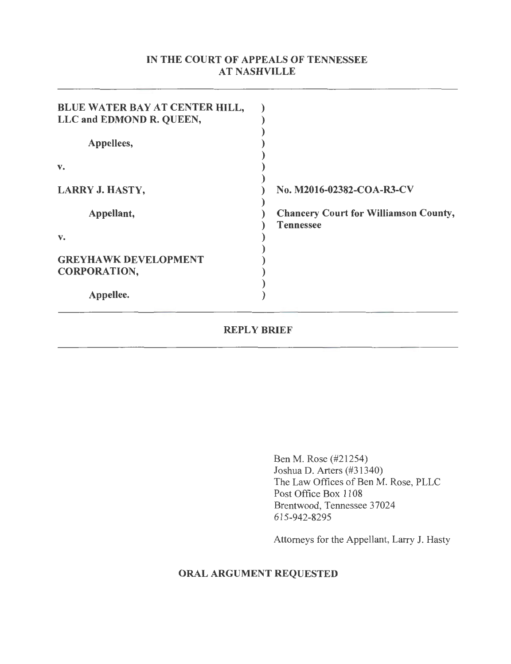## IN THE COURT OF APPEALS OF TENNESSEE AT NASHVILLE

| <b>BLUE WATER BAY AT CENTER HILL,</b><br>LLC and EDMOND R. QUEEN, |                                                                  |
|-------------------------------------------------------------------|------------------------------------------------------------------|
| Appellees,                                                        |                                                                  |
| v.                                                                |                                                                  |
| <b>LARRY J. HASTY,</b>                                            | No. M2016-02382-COA-R3-CV                                        |
| Appellant,                                                        | <b>Chancery Court for Williamson County,</b><br><b>Tennessee</b> |
| v.                                                                |                                                                  |
| <b>GREYHAWK DEVELOPMENT</b><br><b>CORPORATION,</b>                |                                                                  |
| Appellee.                                                         |                                                                  |

### REPLY BRIEF

Ben M. Rose (#21254) Joshua D. Arters (#31340) The Law Offices of Ben M. Rose, PLLC Post Office Box 1108 Brentwood, Tennessee 37024 615-942-8295

Attorneys for the Appellant, Larry J. Hasty

# ORAL ARGUMENT REQUESTED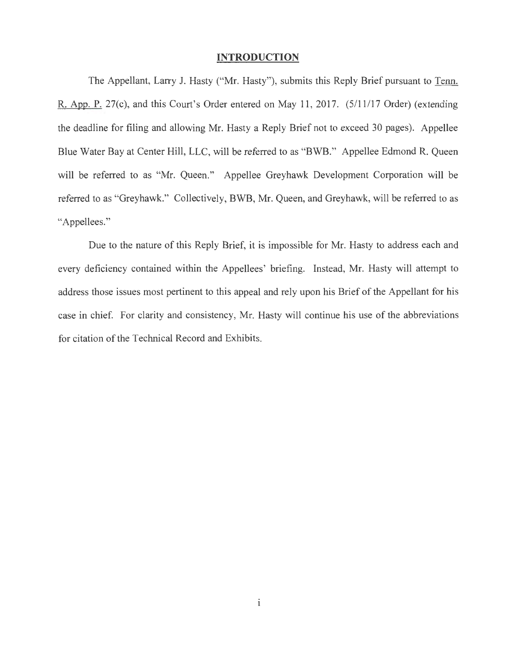#### **INTRODUCTION**

The Appellant, Larry J. Hasty ("Mr. Hasty"), submits this Reply Brief pursuant to Tenn. R. App. P. 27(c), and this Court's Order entered on May 11, 2017. (5/11/17 Order) (extending the deadline for filing and allowing Mr. Hasty a Reply Brief not to exceed 30 pages). Appellee Blue Water Bay at Center Hill, LLC, will be referred to as "BWB." Appellee Edmond R. Queen will be referred to as "Mr. Queen." Appellee Greyhawk Development Corporation will be referred to as "Greyhawk." Collectively, BWB, Mr. Queen, and Greyhawk, will be referred to as "Appellees."

Due to the nature of this Reply Brief, it is impossible for Mr. Hasty to address each and every deficiency contained within the Appellees' briefing. Instead, Mr. Hasty will attempt to address those issues most pertinent to this appeal and rely upon his Brief of the Appellant for his case in chief. For clarity and consistency, Mr. Hasty will continue his use of the abbreviations for citation of the Technical Record and Exhibits.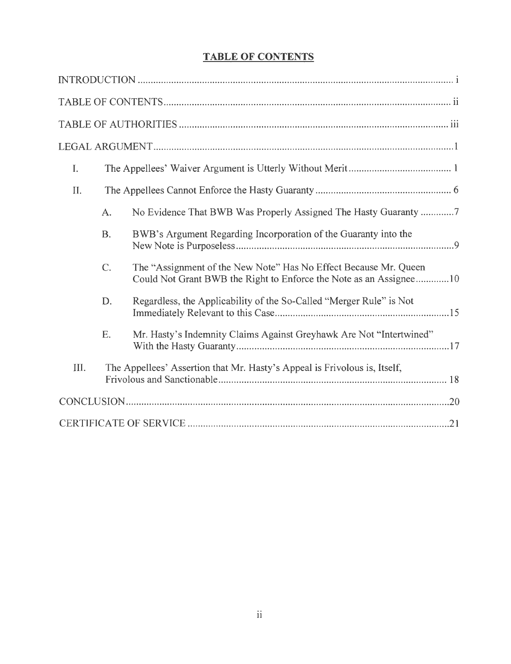# **TABLE OF CONTENTS**

| I.   |                  |                                                                                                                                        |
|------|------------------|----------------------------------------------------------------------------------------------------------------------------------------|
| II.  |                  |                                                                                                                                        |
|      | A.               | No Evidence That BWB Was Properly Assigned The Hasty Guaranty 7                                                                        |
|      | <b>B.</b>        | BWB's Argument Regarding Incorporation of the Guaranty into the                                                                        |
|      | $\overline{C}$ . | The "Assignment of the New Note" Has No Effect Because Mr. Queen<br>Could Not Grant BWB the Right to Enforce the Note as an Assignee10 |
|      | D.               | Regardless, the Applicability of the So-Called "Merger Rule" is Not                                                                    |
|      | Ε.               | Mr. Hasty's Indemnity Claims Against Greyhawk Are Not "Intertwined"                                                                    |
| III. |                  | The Appellees' Assertion that Mr. Hasty's Appeal is Frivolous is, Itself,                                                              |
|      |                  |                                                                                                                                        |
|      |                  |                                                                                                                                        |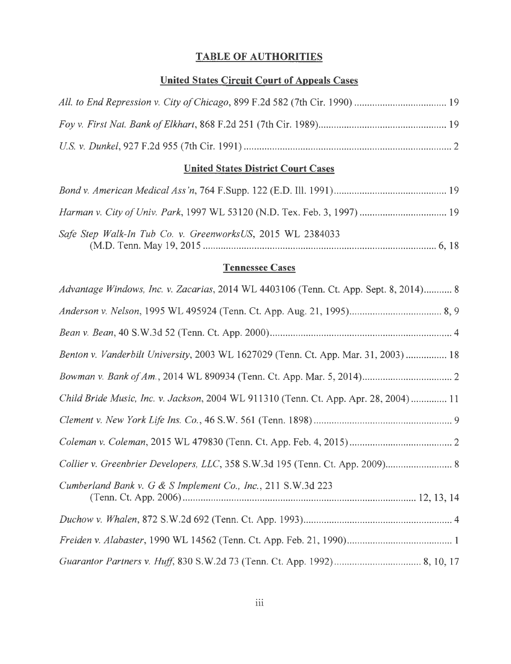# TABLE OF AUTHORITIES

# United States Circuit Court of Appeals Cases

# United States District Court Cases

| Safe Step Walk-In Tub Co. v. GreenworksUS, 2015 WL 2384033 |  |
|------------------------------------------------------------|--|

# Tennessee Cases

| Advantage Windows, Inc. v. Zacarias, 2014 WL 4403106 (Tenn. Ct. App. Sept. 8, 2014) 8 |
|---------------------------------------------------------------------------------------|
|                                                                                       |
|                                                                                       |
| Benton v. Vanderbilt University, 2003 WL 1627029 (Tenn. Ct. App. Mar. 31, 2003)  18   |
|                                                                                       |
| Child Bride Music, Inc. v. Jackson, 2004 WL 911310 (Tenn. Ct. App. Apr. 28, 2004)  11 |
|                                                                                       |
|                                                                                       |
| Collier v. Greenbrier Developers, LLC, 358 S.W.3d 195 (Tenn. Ct. App. 2009) 8         |
| Cumberland Bank v. G & S Implement Co., Inc., 211 S.W.3d 223                          |
|                                                                                       |
|                                                                                       |
|                                                                                       |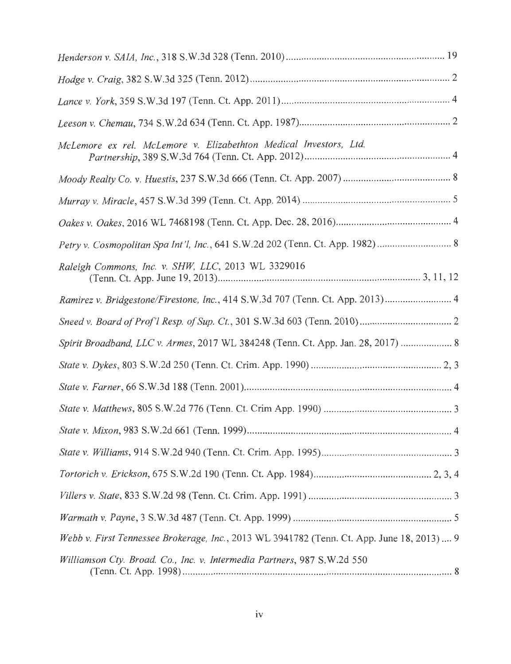| McLemore ex rel. McLemore v. Elizabethton Medical Investors, Ltd.                         |
|-------------------------------------------------------------------------------------------|
|                                                                                           |
|                                                                                           |
|                                                                                           |
|                                                                                           |
| Raleigh Commons, Inc. v. SHW, LLC, 2013 WL 3329016                                        |
| Ramirez v. Bridgestone/Firestone, Inc., 414 S.W.3d 707 (Tenn. Ct. App. 2013) 4            |
|                                                                                           |
| Spirit Broadband, LLC v. Armes, 2017 WL 384248 (Tenn. Ct. App. Jan. 28, 2017)  8          |
|                                                                                           |
|                                                                                           |
|                                                                                           |
|                                                                                           |
|                                                                                           |
|                                                                                           |
|                                                                                           |
|                                                                                           |
| Webb v. First Tennessee Brokerage, Inc., 2013 WL 3941782 (Tenn. Ct. App. June 18, 2013) 9 |
| Williamson Cty. Broad. Co., Inc. v. Intermedia Partners, 987 S.W.2d 550                   |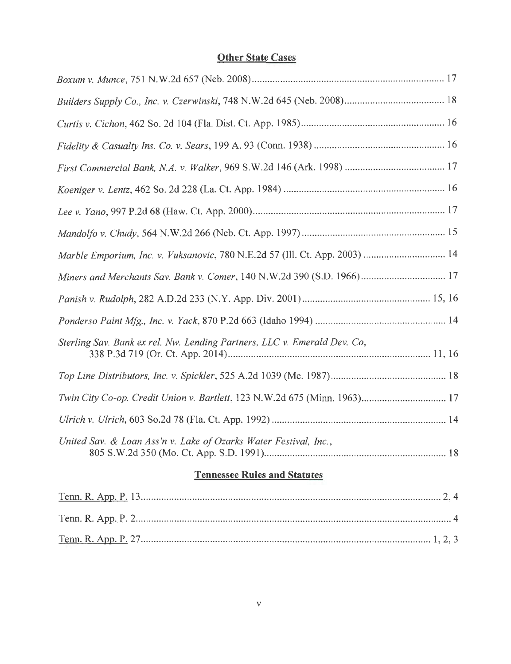# **Other State Cases**

| Miners and Merchants Sav. Bank v. Comer, 140 N.W.2d 390 (S.D. 1966) 17    |
|---------------------------------------------------------------------------|
|                                                                           |
|                                                                           |
| Sterling Sav. Bank ex rel. Nw. Lending Partners, LLC v. Emerald Dev. Co,  |
|                                                                           |
| Twin City Co-op. Credit Union v. Bartlett, 123 N.W.2d 675 (Minn. 1963) 17 |
|                                                                           |
| United Sav. & Loan Ass'n v. Lake of Ozarks Water Festival, Inc.,          |
| <b>Tennessee Rules and Statutes</b>                                       |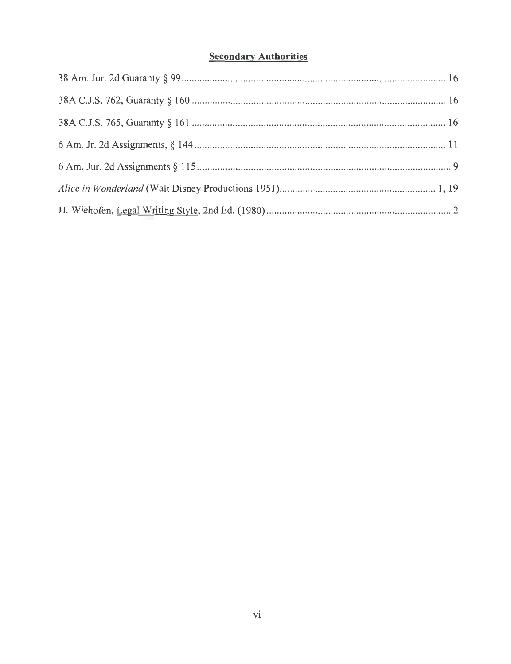# **Secondary Authorities**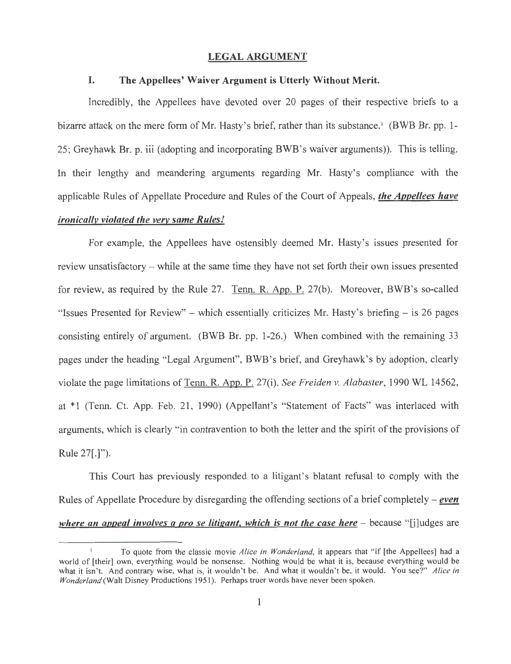### LEGAL ARGUMENT

#### I. The Appellees' Waiver Argument is Utterly Without Merit.

Incredibly, the Appellees have devoted over 20 pages of their respective briefs to a bizarre attack on the mere form of Mr. Hasty's brief, rather than its substance.<sup>1</sup> (BWB Br. pp. 1-25; Greyhawk Br. p. iii (adopting and incorporating BWB's waiver arguments)). This is telling. In their lengthy and meandering arguments regarding Mr. Hasty's compliance with the applicable Rules of Appellate Procedure and Rules of the Court of Appeals, *the Appellees have ironically violated the very same Rules!* 

For example, the Appellees have ostensibly deemed Mr. Hasty's issues presented for review unsatisfactory – while at the same time they have not set forth their own issues presented for review, as required by the Rule 27. Tenn. R. App. P. 27(b). Moreover, BWB's so-called "Issues Presented for Review" - which essentially criticizes Mr. Hasty's briefing - is 26 pages consisting entirely of argument. (BWB Br. pp. 1-26.) When combined with the remaining 33 pages under the heading "Legal Argument", BWB's brief, and Greyhawk's by adoption, clearly violate the page limitations of Tenn. R. App. P. 27(i). *See Freiden v. Alabaster,* 1990 WL 14562, at \*1 (Tenn. Ct. App. Feb. 21, 1990) (Appellant's "Statement of Facts" was interlaced with arguments, which is clearly "in contravention to both the letter and the spirit of the provisions of Rule 27[.]").

This Court has previously responded to a litigant's blatant refusal to comply with the Rules of Appellate Procedure by disregarding the offending sections of a brief completely – *even where an appeal involves a pro se litigant, which is not the case here* – because "[j]udges are

To quote from the classic movie *Alice in Wonderland*, it appears that "if [the Appellees] had a world of [their] own, everything would be nonsense. Nothing would be what it is, because everything would be what it isn't. And contrary wise, what is, it wouldn't be. And what it wouldn't be, it would. You see?" Alice in *Wonderland* (Walt Disney Productions 1951). Perhaps truer words have never been spoken.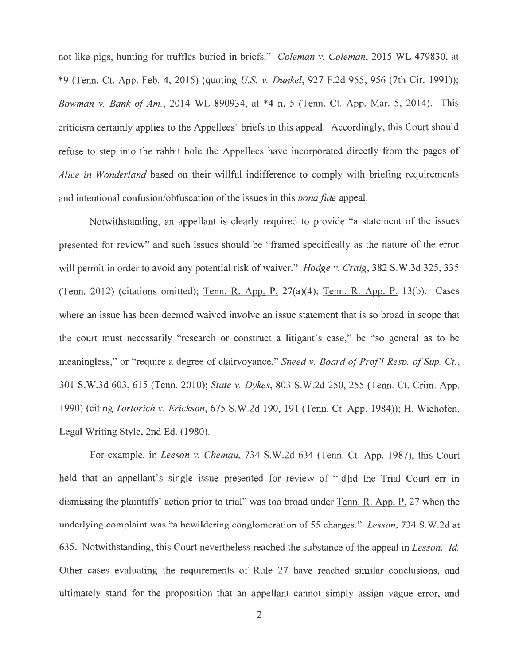not like pigs, hunting for truffles buried in briefs." *Coleman v. Coleman,* 2015 WL 479830, at \*9 (Tenn. Ct. App. Feb. 4, 2015) (quoting *US. v. Dunkel,* 927 F.2d 955, 956 (7th Cir. 1991)); *Bowman v. Bank of Am.,* 2014 WL 890934, at \*4 n. 5 (Tenn. Ct. App. Mar. 5, 2014). This criticism certainly applies to the Appellees' briefs in this appeal. Accordingly, this Court should refuse to step into the rabbit hole the Appellees have incorporated directly from the pages of *Alice in Wonderland* based on their willful indifference to comply with briefing requirements and intentional confusion/obfuscation of the issues in this *bona fide* appeal.

Notwithstanding, an appellant is clearly required to provide "a statement of the issues presented for review" and such issues should be "framed specifically as the nature of the error will permit in order to avoid any potential risk of waiver." *Hodge v. Craig,* 382 S.W.3d 325, 335 (Tenn. 2012) (citations omitted); Tenn. R. App. P. 27(a)(4); Tenn. R. App. P. 13(b). Cases where an issue has been deemed waived involve an issue statement that is so broad in scope that the court must necessarily "research or construct a litigant's case," be "so general as to be meaningless," or "require a degree of clairvoyance." *Sneed v. Board of Prof'! Resp. of Sup. Ct. ,*  301 S.W.3d 603, 615 (Tenn. 2010); *State v. Dykes,* 803 S.W.2d 250, 255 (Tenn. Ct. Crim. App. 1990) (citing *Tortorich v. Erickson,* 675 S.W.2d 190, 191 (Tenn. Ct. App. 1984)); H. Wiehofen, Legal Writing Style, 2nd Ed. (1980).

For example, in *Leeson v. Chemau,* 734 S.W.2d 634 (Tenn. Ct. App. 1987), this Court held that an appellant's single issue presented for review of "[d]id the Trial Court err in dismissing the plaintiffs' action prior to trial" was too broad under Tenn. R. App. P. 27 when the underlying complaint was "a bewildering conglomeration of 55 charges." *Lesson,* 734 S .W .2d at 635. Notwithstanding, this Court nevertheless reached the substance of the appeal in *Lesson. Id.*  Other cases evaluating the requirements of Rule 27 have reached similar conclusions, and ultimately stand for the proposition that an appellant cannot simply assign vague error, and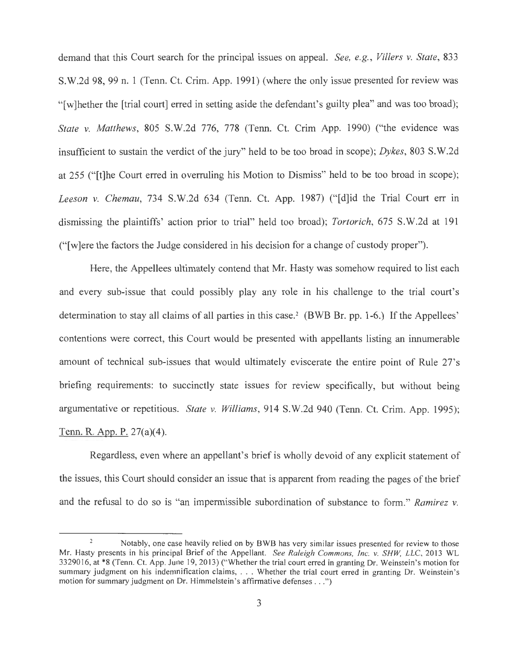demand that this Court search for the principal issues on appeal. *See, e.g. , Villers v. State,* 833 S.W.2d 98, 99 n. 1 (Tenn. Ct. Crim. App. 1991) (where the only issue presented for review was "[w]hether the [trial court] erred in setting aside the defendant's guilty plea" and was too broad); *State v. Matthews,* 805 S.W.2d 776, 778 (Tenn. Ct. Crim App. 1990) ("the evidence was insufficient to sustain the verdict of the jury" held to be too broad in scope); *Dykes,* 803 S.W.2d at 255 ("[t]he Court erred in overruling his Motion to Dismiss" held to be too broad in scope); Leeson v. Chemau, 734 S.W.2d 634 (Tenn. Ct. App. 1987) ("[d]id the Trial Court err in dismissing the plaintiffs' action prior to trial" held too broad); *Tortorich,* 675 S.W.2d at 191 ("[w]ere the factors the Judge considered in his decision for a change of custody proper").

Here, the Appellees ultimately contend that Mr. Hasty was somehow required to list each and every sub-issue that could possibly play any role in his challenge to the trial court's determination to stay all claims of all parties in this case. 2 (BWB Br. pp. 1-6.) If the Appellees' contentions were correct, this Court would be presented with appellants listing an innumerable amount of technical sub-issues that would ultimately eviscerate the entire point of Rule 27's briefing requirements: to succinctly state issues for review specifically, but without being argumentative or repetitious. *State v. Williams,* 914 S.W.2d 940 (Tenn. Ct. Crim. App. 1995); Tenn. R. App. P. 27(a)(4).

Regardless, even where an appellant's brief is wholly devoid of any explicit statement of the issues, this Court should consider an issue that is apparent from reading the pages of the brief and the refusal to do so is "an impermissible subordination of substance to form. " *Ramirez v.* 

 $\overline{2}$ Notably, one case heavily relied on by BWB has very similar issues presented for review to those Mr. Hasty presents in his principal Brief of the Appellant. *See Raleigh Commons, Inc. v. SHW, LLC,* 2013 WL 3329016, at \*8 (Tenn. Ct. App. June 19, 2013) ("Whether the trial court erred in granting Dr. Weinstein's motion for summary judgment on his indemnification claims, . . . Whether the trial court erred in granting Dr. Weinstein's motion for summary judgment on Dr. Himmelstein's affirmative defenses .. . ")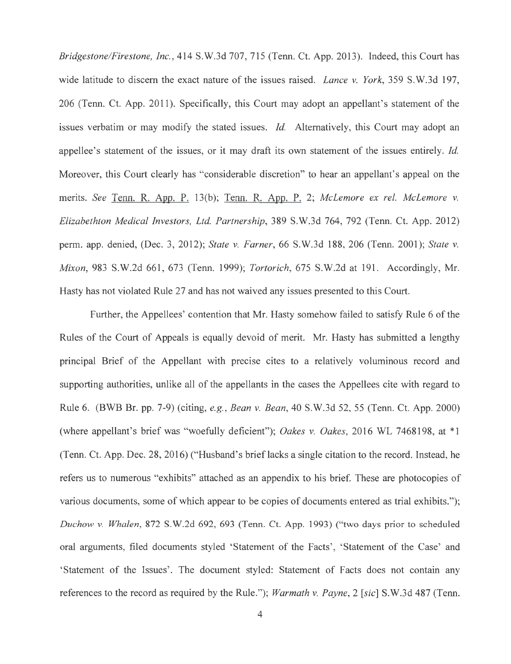*Bridgestone/Firestone, Inc.,* 414 S.W.3d 707, 715 (Tenn. Ct. App. 2013). Indeed, this Court has wide latitude to discern the exact nature of the issues raised. *Lance v. York,* 359 S.W.3d 197, 206 (Tenn. Ct. App. 2011). Specifically, this Court may adopt an appellant's statement of the issues verbatim or may modify the stated issues. *Id.* Alternatively, this Court may adopt an appellee's statement of the issues, or it may draft its own statement of the issues entirely. *Id.*  Moreover, this Court clearly has "considerable discretion" to hear an appellant's appeal on the merits. *See* Tenn. R. App. P. 13(b); Tenn. R. App. P. 2; *Mclemore ex rel. Mclemore v. Elizabethton Medical Investors, Ltd. Partnership,* 389 S.W.3d 764, 792 (Tenn. Ct. App. 2012) perm. app. denied, (Dec. 3, 2012); *State v. Farner,* 66 S.W.3d 188, 206 (Tenn. 2001); *State v. Mixon*, 983 S.W.2d 661, 673 (Tenn. 1999); *Tortorich*, 675 S.W.2d at 191. Accordingly, Mr. Hasty has not violated Rule 27 and has not waived any issues presented to this Court.

Further, the Appellees' contention that Mr. Hasty somehow failed to satisfy Rule 6 of the Rules of the Court of Appeals is equally devoid of merit. Mr. Hasty has submitted a lengthy principal Brief of the Appellant with precise cites to a relatively voluminous record and supporting authorities, unlike all of the appellants in the cases the Appellees cite with regard to Rule 6. (BWB Br. pp. 7-9) (citing, *e.g. , Bean v. Bean,* 40 S.W.3d 52, 55 (Tenn. Ct. App. 2000) (where appellant's brief was "woefully deficient"); *Oakes v. Oakes,* 2016 WL 7468198, at \*1 (Tenn. Ct. App. Dec. 28, 2016) ("Husband's brieflacks a single citation to the record. Instead, he refers us to numerous "exhibits" attached as an appendix to his brief. These are photocopies of various documents, some of which appear to be copies of documents entered as trial exhibits."); *Duchow v. Whalen,* 872 S.W .2d 692, 693 (Tenn. Ct. App. 1993) ("two days prior to scheduled oral arguments, filed documents styled 'Statement of the Facts', 'Statement of the Case' and 'Statement of the Issues'. The document styled: Statement of Facts does not contain any references to the record as required by the Rule."); *Warmath v. Payne,* 2 *[sic]* S.W.3d 487 (Tenn.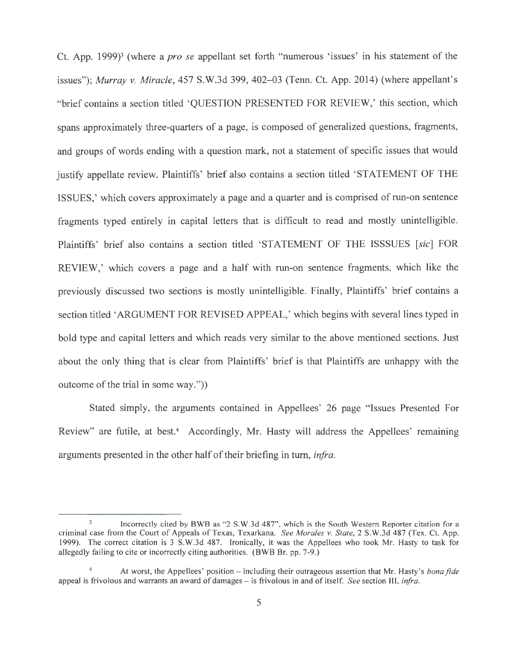Ct. App. 1999)3 (where a *pro se* appellant set forth "numerous 'issues' in his statement of the issues"); *Murray v. Miracle,* 457 S.W.3d 399, 402-03 (Tenn. Ct. App. 2014) (where appellant's "brief contains a section titled 'QUESTION PRESENTED FOR REVIEW,' this section, which spans approximately three-quarters of a page, is composed of generalized questions, fragments, and groups of words ending with a question mark, not a statement of specific issues that would justify appellate review. Plaintiffs' brief also contains a section titled 'STATEMENT OF THE ISSUES,' which covers approximately a page and a quarter and is comprised of run-on sentence fragments typed entirely in capital letters that is difficult to read and mostly unintelligible. Plaintiffs' brief also contains a section titled 'STATEMENT OF THE ISSSUES [sic] FOR REVIEW,' which covers a page and a half with run-on sentence fragments, which like the previously discussed two sections is mostly unintelligible. Finally, Plaintiffs' brief contains a section titled 'ARGUMENT FOR REVISED APPEAL,' which begins with several lines typed in bold type and capital letters and which reads very similar to the above mentioned sections. Just about the only thing that is clear from Plaintiffs' brief is that Plaintiffs are unhappy with the outcome of the trial in some way."))

Stated simply, the arguments contained in Appellees' 26 page "Issues Presented For Review" are futile, at best.<sup>4</sup> Accordingly, Mr. Hasty will address the Appellees' remaining arguments presented in the other half of their briefing in turn, *infra.* 

Incorrectly cited by BWB as "2 S.W.3d 487", which is the South Western Reporter citation for a criminal case from the Court of Appeals of Texas, Texarkana. *See Morales v. State,* 2 S.W.3d 487 (Tex. Ct. App. 1999). The correct citation is 3 S. W.3d 487. Ironically, it was the Appellees who took Mr. Hasty to task for allegedly failing to cite or incorrectly citing authorities. (BWB Br. pp. 7-9.)

<sup>4</sup> At worst, the Appellees' position - including their outrageous assertion that Mr. Hasty's *bona fide*  appeal is frivolous and warrants an award of damages – is frivolous in and of itself. *See* section III, *infra*.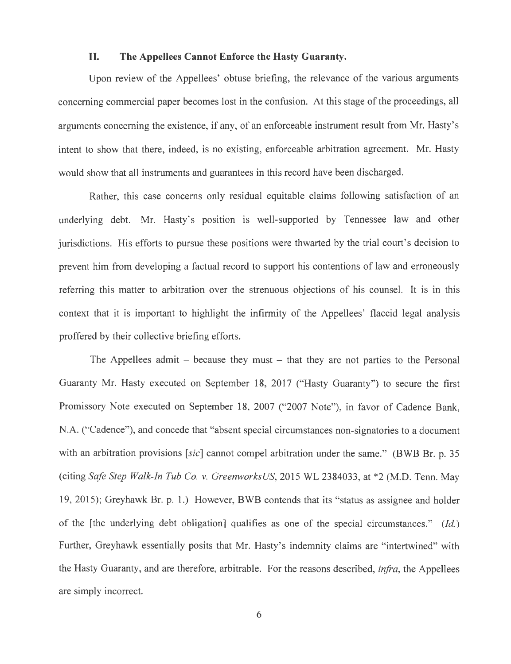### **II. The Appellees Cannot Enforce the Hasty Guaranty.**

Upon review of the Appellees' obtuse briefing, the relevance of the various arguments concerning commercial paper becomes lost in the confusion. At this stage of the proceedings, all arguments concerning the existence, if any, of an enforceable instrument result from Mr. Hasty's intent to show that there, indeed, is no existing, enforceable arbitration agreement. Mr. Hasty would show that all instruments and guarantees in this record have been discharged.

Rather, this case concerns only residual equitable claims following satisfaction of an underlying debt. Mr. Hasty's position is well-supported by Tennessee law and other jurisdictions. His efforts to pursue these positions were thwarted by the trial court's decision to prevent him from developing a factual record to support his contentions of law and erroneously referring this matter to arbitration over the strenuous objections of his counsel. It is in this context that it is important to highlight the infirmity of the Appellees' flaccid legal analysis proffered by their collective briefing efforts.

The Appellees admit  $-$  because they must  $-$  that they are not parties to the Personal Guaranty Mr. Hasty executed on September 18, 2017 ("Hasty Guaranty") to secure the first Promissory Note executed on September 18, 2007 ("2007 Note"), in favor of Cadence Bank, N.A. ("Cadence"), and concede that "absent special circumstances non-signatories to a document with an arbitration provisions *[sic]* cannot compel arbitration under the same." (BWB Br. p. 35 (citing *Safe Step Walk-In Tub Co. v. GreenworksUS,* 2015 WL 2384033, at \*2 (M.D. Tenn. May 19, 2015); Greyhawk Br. p. 1.) However, BWB contends that its "status as assignee and holder of the [the underlying debt obligation] qualifies as one of the special circumstances." *(Id.)*  Further, Greyhawk essentially posits that Mr. Hasty's indemnity claims are "intertwined" with the Hasty Guaranty, and are therefore, arbitrable. For the reasons described, *infra,* the Appellees are simply incorrect.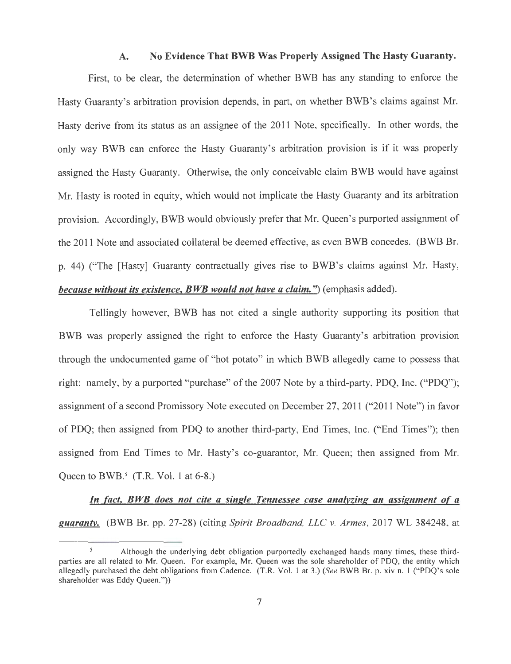#### A. No Evidence That BWB Was Properly Assigned The Hasty Guaranty.

First, to be clear, the determination of whether BWB has any standing to enforce the Hasty Guaranty's arbitration provision depends, in part, on whether BWB's claims against Mr. Hasty derive from its status as an assignee of the 2011 Note, specifically. In other words, the only way BWB can enforce the Hasty Guaranty's arbitration provision is if it was properly assigned the Hasty Guaranty. Otherwise, the only conceivable claim BWB would have against Mr. Hasty is rooted in equity, which would not implicate the Hasty Guaranty and its arbitration provision. Accordingly, BWB would obviously prefer that Mr. Queen's purported assignment of the 2011 Note and associated collateral be deemed effective, as even BWB concedes. (BWB Br. p. 44) ("The [Hasty] Guaranty contractually gives rise to BWB's claims against Mr. Hasty, *because without its existence, BWB would not have a claim.*") (emphasis added).

Tellingly however, BWB has not cited a single authority supporting its position that BWB was properly assigned the right to enforce the Hasty Guaranty's arbitration provision through the undocumented game of "hot potato" in which BWB allegedly came to possess that right: namely, by a purported "purchase" of the 2007 Note by a third-party, PDQ, Inc. ("PDQ"); assignment of a second Promissory Note executed on December 27, 2011 ("2011 Note") in favor of PDQ; then assigned from PDQ to another third-party, End Times, Inc. ("End Times"); then assigned from End Times to Mr. Hasty's co-guarantor, Mr. Queen; then assigned from Mr. Queen to BWB. $^5$  (T.R. Vol. 1 at 6-8.)

*In fact, BWB does not cite a single Tennessee case analyzing an assignment of a guaranty.* (BWB Br. pp. 27-28) (citing *Spirit Broadband, LLC v. Armes,* 2017 WL 384248, at

Although the underlying debt obligation purportedly exchanged hands many times, these thirdparties are all related to Mr. Queen. For example, Mr. Queen was the sole shareholder of PDQ, the entity which allegedly purchased the debt obligations from Cadence. (T.R. Vol. 1 at 3.) *(See* BWB Br. p. xiv n. I ("PDQ's sole shareholder was Eddy Queen."))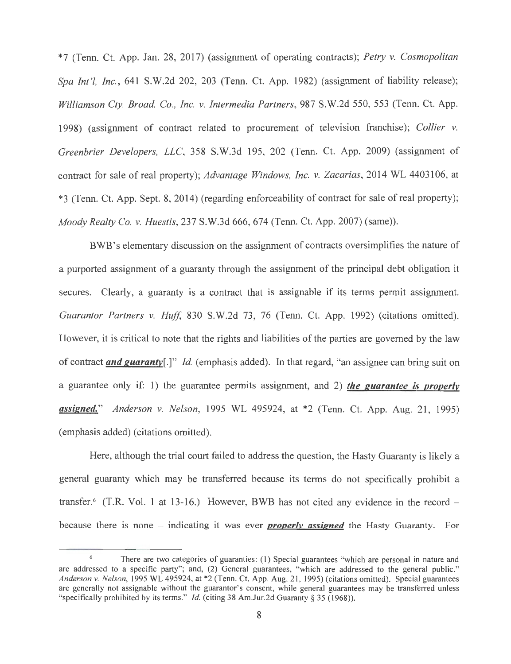\*7 (Tenn. Ct. App. Jan. 28, 201 7) (assignment of operating contracts); *Petry v. Cosmopolitan Spa Int '/, Inc.,* 641 S.W.2d 202, 203 (Tenn. Ct. App. 1982) (assignment of liability release); *Williamson Cty. Broad. Co. , Inc. v. Intermedia Partners,* 987 S.W.2d 550, 553 (Tenn. Ct. App. 1998) (assignment of contract related to procurement of television franchise); *Collier v. Greenbrier Developers, LLC,* 358 S.W.3d 195, 202 (Tenn. Ct. App. 2009) (assignment of contract for sale of real property); *Advantage Windows, Inc. v. Zacarias,* 2014 WL 4403106, at \*3 (Tenn. Ct. App. Sept. 8, 2014) (regarding enforceability of contract for sale of real property); *Moody Realty Co. v. Huestis,* 237 S.W.3d 666, 674 (Tenn. Ct. App. 2007) (same)).

BWB's elementary discussion on the assignment of contracts oversimplifies the nature of a purported assignment of a guaranty through the assignment of the principal debt obligation it secures. Clearly, a guaranty is a contract that is assignable if its terms permit assignment. *Guarantor Partners v. Huff,* 830 S.W.2d 73, 76 (Tenn. Ct. App. 1992) (citations omitted). However, it is critical to note that the rights and liabilities of the parties are governed by the law of contract *and guaranty[.]" Id.* (emphasis added). In that regard, "an assignee can bring suit on a guarantee only if: 1) the guarantee permits assignment, and 2) *the guarantee is properly assigned.*" *Anderson v. Nelson,* 1995 WL 495924, at \*2 (Tenn. Ct. App. Aug. 21, 1995) (emphasis added) (citations omitted).

Here, although the trial court failed to address the question, the Hasty Guaranty is likely a general guaranty which may be transferred because its terms do not specifically prohibit a transfer. 6 (T.R. Vol. 1 at 13-16.) However, BWB has not cited any evidence in the record because there is none - indicating it was ever *properly assigned* the Hasty Guaranty. For

<sup>&</sup>lt;sup>6</sup> There are two categories of guaranties: (1) Special guarantees "which are personal in nature and are addressed to a specific party"; and, (2) General guarantees, "which are addressed to the general public." *Anderson v. Nelson,* 1995 WL 495924, at \*2 (Tenn. Ct. App. Aug. 21 , 1995) (citations omitted). Special guarantees are generally not assignable without the guarantor's consent, while general guarantees may be transferred unless "specifically prohibited by its terms." *Id.* (citing 38 Am.Jur.2d Guaranty§ 35 (1968)).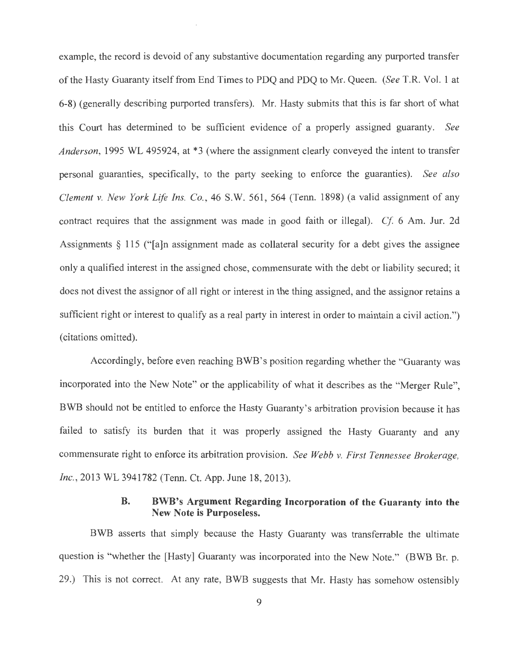example, the record is devoid of any substantive documentation regarding any purported transfer of the Hasty Guaranty itself from End Times to PDQ and PDQ to Mr. Queen. *(See* T.R. Vol. 1 at 6-8) (generally describing purported transfers). Mr. Hasty submits that this is far short of what this Court has determined to be sufficient evidence of a properly assigned guaranty. *See Anderson,* 1995 WL 495924, at \*3 (where the assignment clearly conveyed the intent to transfer personal guaranties, specifically, to the party seeking to enforce the guaranties). *See also Clement v. New York Life Ins. Co.,* 46 S.W. 561 , 564 (Tenn. 1898) (a valid assignment of any contract requires that the assignment was made in good faith or illegal). *Cf* 6 Am. Jur. 2d Assignments  $\S$  115 ("[a]n assignment made as collateral security for a debt gives the assignee only a qualified interest in the assigned chose, commensurate with the debt or liability secured; it does not divest the assignor of all right or interest in the thing assigned, and the assignor retains a sufficient right or interest to qualify as a real party in interest in order to maintain a civil action.") (citations omitted).

Accordingly, before even reaching BWB's position regarding whether the "Guaranty was incorporated into the New Note" or the applicability of what it describes as the "Merger Rule", BWB should not be entitled to enforce the Hasty Guaranty's arbitration provision because it has failed to satisfy its burden that it was properly assigned the Hasty Guaranty and any commensurate right to enforce its arbitration provision. *See Webb v. First Tennessee Brokerage, Inc.*, 2013 WL 3941782 (Tenn. Ct. App. June 18, 2013).

### **B. BWB's Argument Regarding Incorporation of the Guaranty into the New Note is Purposeless.**

BWB asserts that simply because the Hasty Guaranty was transferrable the ultimate question is "whether the [Hasty] Guaranty was incorporated into the New Note." (BWB Br. p. 29.) This is not correct. At any rate, BWB suggests that Mr. Hasty has somehow ostensibly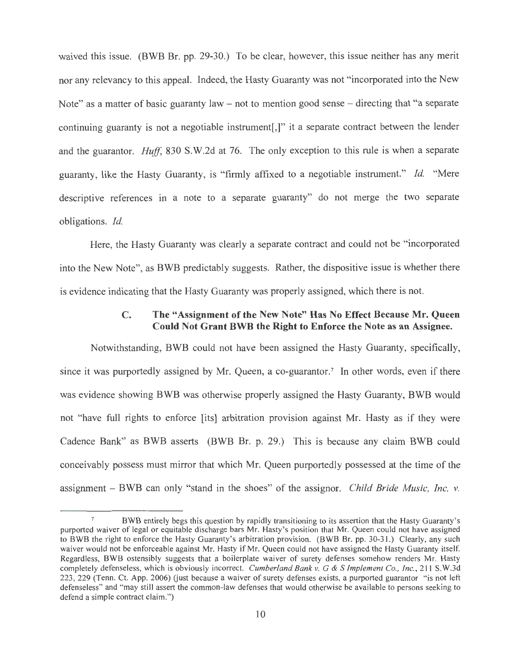waived this issue. (BWB Br. pp. 29-30.) To be clear, however, this issue neither has any merit nor any relevancy to this appeal. Indeed, the Hasty Guaranty was not "incorporated into the New Note" as a matter of basic guaranty law – not to mention good sense – directing that "a separate" continuing guaranty is not a negotiable instrument[,]" it a separate contract between the lender and the guarantor. *Huff,* 830 S.W.2d at 76. The only exception to this rule is when a separate guaranty, like the Hasty Guaranty, is "firmly affixed to a negotiable instrument." *Id.* "Mere descriptive references in a note to a separate guaranty" do not merge the two separate obligations. *Id.* 

Here, the Hasty Guaranty was clearly a separate contract and could not be "incorporated into the New Note", as BWB predictably suggests. Rather, the dispositive issue is whether there is evidence indicating that the Hasty Guaranty was properly assigned, which there is not.

### **C. The "Assignment of the New Note" Has No Effect Because Mr. Queen Could Not Grant BWB the Right to Enforce the Note as an A.ssignee.**

Notwithstanding, BWB could not have been assigned the Hasty Guaranty, specifically, since it was purportedly assigned by Mr. Queen, a co-guarantor.<sup>7</sup> In other words, even if there was evidence showing BWB was otherwise properly assigned the Hasty Guaranty, BWB would not "have full rights to enforce [its] arbitration provision against Mr. Hasty as if they were Cadence Bank" as BWB asserts (BWB Br. p. 29.) This is because any claim BWB could conceivably possess must mirror that which Mr. Queen purportedly possessed at the time of the assignment - BWB can only "stand in the shoes" of the assignor. *Child Bride Music, Inc. v.* 

BWB entirely begs this question by rapidly transitioning to its assertion that the Hasty Guaranty's purported waiver of legal or equitable discharge bars Mr. Hasty's position that Mr. Queen could not have assigned to BWB the right to enforce the Hasty Guaranty's arbitration provision. (BWB Br. pp. 30-3 1.) Clearly, any such waiver would not be enforceable against Mr. Hasty if Mr. Queen could not have assigned the Hasty Guaranty itself. Regardless, BWB ostensibly suggests that a boilerplate waiver of surety defenses somehow renders Mr. Hasty completely defenseless, which is obviously incorrect. *Cumberland Bank v. G* & S *Implement Co., Inc.,* 211 S.W.3d 223, 229 (Tenn. Ct. App. 2006) (just because a waiver of surety defenses exists, a purported guarantor "is not left defenseless" and "may still assert the common-law defenses that would otherwise be available to persons seeking to defend a simple contract claim.")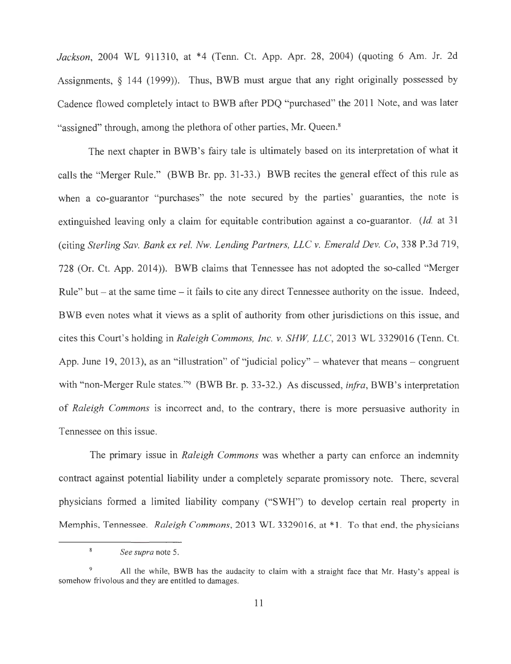*Jackson,* 2004 WL 911310, at \*4 (Tenn. Ct. App. Apr. 28, 2004) (quoting 6 Am. Jr. 2d Assignments, § 144 (1999)). Thus, BWB must argue that any right originally possessed by Cadence flowed completely intact to BWB after PDQ "purchased" the 2011 Note, and was later "assigned" through, among the plethora of other parties, Mr. Queen.<sup>8</sup>

The next chapter in BWB's fairy tale is ultimately based on its interpretation of what it calls the "Merger Rule." (BWB Br. pp. 31-33.) BWB recites the general effect of this rule as when a co-guarantor "purchases" the note secured by the parties' guaranties, the note is extinguished leaving only a claim for equitable contribution against a co-guarantor. *(Id.* at 31 (citing *Sterling Sav. Bank ex rel. Nw. Lending Partners, LLC v. Emerald Dev. Co,* 338 P.3d 719, 728 (Or. Ct. App. 2014)). BWB claims that Tennessee has not adopted the so-called "Merger Rule" but  $-$  at the same time  $-$  it fails to cite any direct Tennessee authority on the issue. Indeed, BWB even notes what it views as a split of authority from other jurisdictions on this issue, and cites this Court's holding in *Raleigh Commons, Inc. v. SHW, LLC,* 2013 WL 3329016 (Tenn. Ct. App. June 19, 2013), as an "illustration" of "judicial policy" – whatever that means – congruent with "non-Merger Rule states."9 (BWB Br. p. 33-32.) As discussed, *irifra,* BWB's interpretation of *Raleigh Commons* is incorrect and, to the contrary, there is more persuasive authority in Tennessee on this issue.

The primary issue in *Raleigh Commons* was whether a party can enforce an indemnity contract against potential liability under a completely separate promissory note. There, several physicians formed a limited liability company ("SWH") to develop certain real property in Memphis, Tennessee. *Raleigh Commons,* 2013 WL 3329016, at \*1. To that end, the physicians

 $\,$  8  $\,$ 

*See supra* note 5.

<sup>9</sup> All the while, BWB has the audacity to claim with a straight face that Mr. Hasty's appeal is somehow frivolous and they are entitled to damages.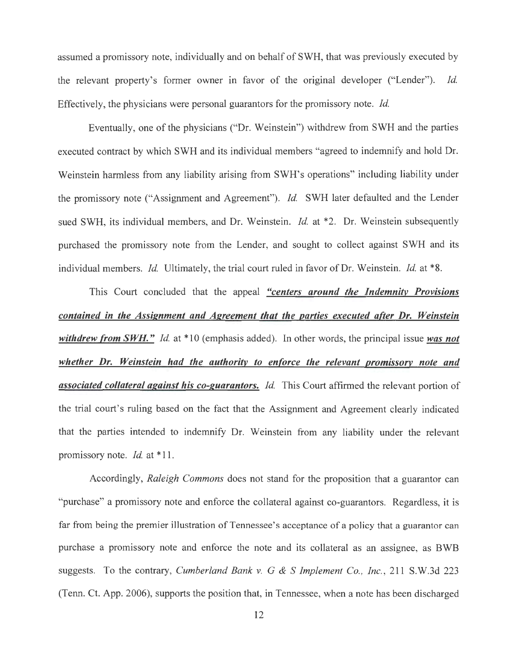assumed a promissory note, individually and on behalf of SWH, that was previously executed by the relevant property's former owner in favor of the original developer ("Lender"). *Id.*  Effectively, the physicians were personal guarantors for the promissory note. *Id.* 

Eventually, one of the physicians ("Dr. Weinstein") withdrew from SWH and the parties executed contract by which SWH and its individual members "agreed to indemnify and hold Dr. Weinstein harmless from any liability arising from SWH's operations" including liability under the promissory note ("Assignment and Agreement"). *Id.* SWH later defaulted and the Lender sued SWH, its individual members, and Dr. Weinstein. *Id.* at \*2. Dr. Weinstein subsequently purchased the promissory note from the Lender, and sought to collect against SWH and its individual members. *Id.* Ultimately, the trial court ruled in favor of Dr. Weinstein. *Id.* at \*8.

This Court concluded that the appeal *"centers around the Indemnity Provisions contained in the Assignment and Agreement that the parties executed after Dr. Weinstein withdrew from SWH." Id.* at \* 10 (emphasis added). In other words, the principal issue *was not whether Dr. Weinstein had the authority to enforce the relevant promissory note and associated collateral against his co-guarantors. Id.* This Court affirmed the relevant portion of the trial court's ruling based on the fact that the Assignment and Agreement clearly indicated that the parties intended to indemnify Dr. Weinstein from any liability under the relevant promissory note. *Id.* at \* 11.

Accordingly, *Raleigh Commons* does not stand for the proposition that a guarantor can "purchase" a promissory note and enforce the collateral against co-guarantors. Regardless, it is far from being the premier illustration of Tennessee's acceptance of a policy that a guarantor can purchase a promissory note and enforce the note and its collateral as an assignee, as BWB suggests. To the contrary, *Cumberland Bank v. G & S Implement Co., Inc.*, 211 S.W.3d 223 (Tenn. Ct. App. 2006), supports the position that, in Tennessee, when a note has been discharged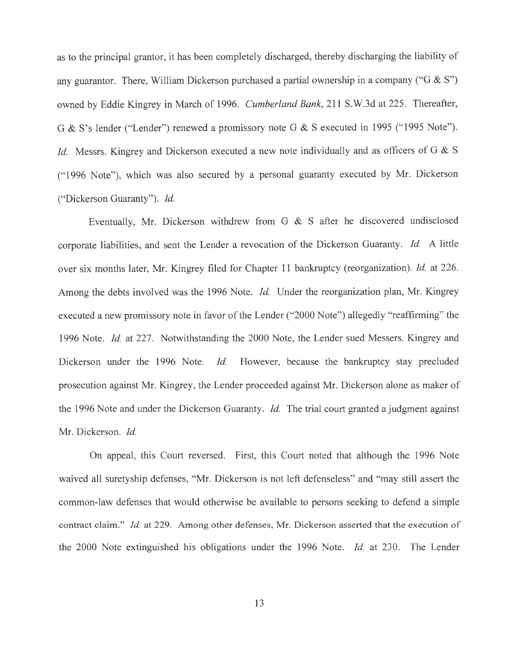as to the principal grantor, it has been completely discharged, thereby discharging the liability of any guarantor. There, William Dickerson purchased a partial ownership in a company ("G & S") owned by Eddie Kingrey in March of 1996. *Cumberland Bank,* 211 S.W.3d at 225. Thereafter, G & S's lender ("Lender") renewed a promissory note G & S executed in 1995 ("1995 Note"). *Id.* Messrs. Kingrey and Dickerson executed a new note individually and as officers of G & S (" 1996 Note"), which was also secured by a personal guaranty executed by Mr. Dickerson ("Dickerson Guaranty"). *Id.* 

Eventually, Mr. Dickerson withdrew from G & S after he discovered undisclosed corporate liabilities, and sent the Lender a revocation of the Dickerson Guaranty. *Id.* A little over six months later, Mr. Kingrey filed for Chapter 11 bankruptcy (reorganization). *Id.* at 226. Among the debts involved was the 1996 Note. *Id.* Under the reorganization plan, Mr. Kingrey executed a new promissory note in favor of the Lender ("2000 Note") allegedly "reaffirming" the 1996 Note. *Id.* at 227. Notwithstanding the 2000 Note, the Lender sued Messers. Kingrey and Dickerson under the 1996 Note. *Id.* However, because the bankruptcy stay precluded prosecution against Mr. Kingrey, the Lender proceeded against Mr. Dickerson alone as maker of the 1996 Note and under the Dickerson Guaranty. *Id.* The trial court granted a judgment against Mr. Dickerson. *Id.* 

On appeal, this Court reversed. First, this Court noted that although the 1996 Note waived all suretyship defenses, "Mr. Dickerson is not left defenseless" and "may still assert the common-law defenses that would otherwise be available to persons seeking to defend a simple contract claim." *Id* at 229. Among other defenses, Mr. Dickerson asserted that the execution of the 2000 Note extinguished his obligations under the 1996 Note. *Id.* at 230. The Lender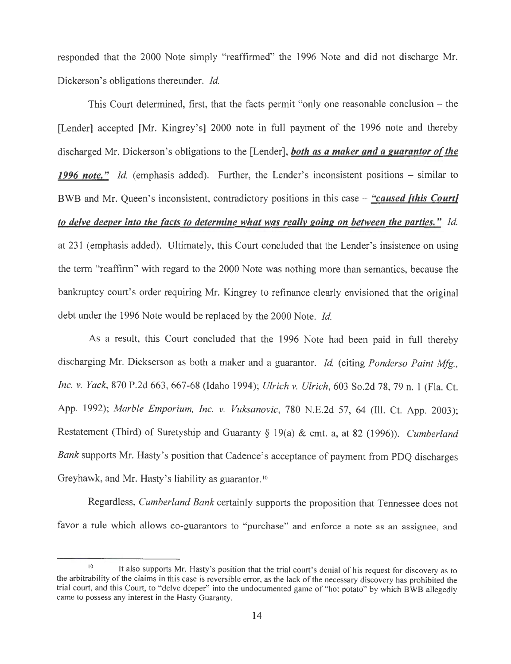responded that the 2000 Note simply "reaffirmed" the 1996 Note and did not discharge Mr. Dickerson's obligations thereunder. *Id.* 

This Court determined, first, that the facts permit "only one reasonable conclusion  $-$  the [Lender] accepted [Mr. Kingrey's] 2000 note in full payment of the 1996 note and thereby discharged Mr. Dickerson's obligations to the [Lender], *both as a maker and a guarantor of the* 1996 note." Id. (emphasis added). Further, the Lender's inconsistent positions – similar to BWB and Mr. Queen's inconsistent, contradictory positions in this case - *"caused {this Court/ to delve deeper into the facts to determine what was really going on between the parties." Id.*  at 231 (emphasis added). Ultimately, this Court concluded that the Lender's insistence on using the term "reaffirm" with regard to the 2000 Note was nothing more than semantics, because the bankruptcy court's order requiring Mr. Kingrey to refinance clearly envisioned that the original debt under the 1996 Note would be replaced by the 2000 Note. *Id.* 

As a result, this Court concluded that the 1996 Note had been paid in full thereby discharging Mr. Dickserson as both a maker and a guarantor. *Id.* (citing *Ponderso Paint Mfg., Inc. v. Yack,* 870 P.2d 663, 667-68 (Idaho 1994); *Ulrich v. Ulrich,* 603 So.2d 78, 79 n. 1 (Fla. Ct. App. 1992); *Marble Emporium, Inc. v. Vuksanovic,* 780 N.E.2d 57, 64 (Ill. Ct. App. 2003); Restatement (Third) of Suretyship and Guaranty § 19(a) & cmt. a, at 82 (1996)). *Cumberland Bank* supports Mr. Hasty's position that Cadence's acceptance of payment from PDQ discharges Greyhawk, and Mr. Hasty's liability as guarantor.<sup>10</sup>

Regardless, *Cumberland Bank* certainly supports the proposition that Tennessee does not favor a rule which allows co-guarantors to "purchase" and enforce a note as an assignee, and

<sup>&</sup>lt;sup>10</sup> It also supports Mr. Hasty's position that the trial court's denial of his request for discovery as to the arbitrability of the claims in this case is reversible error, as the lack of the necessary discovery has prohibited the trial court, and this Court, to "delve deeper" into the undocumented game of "hot potato" by which B WB allegedly came to possess any interest in the Hasty Guaranty.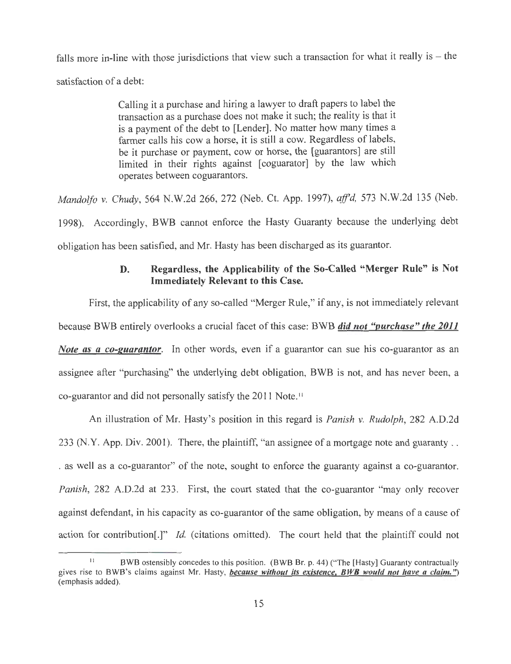falls more in-line with those jurisdictions that view such a transaction for what it really is  $-$  the satisfaction of a debt:

> Calling it a purchase and hiring a lawyer to draft papers to label the transaction as a purchase does not make it such; the reality is that it is a payment of the debt to [Lender]. No matter how many times a farmer calls his cow a horse, it is still a cow. Regardless of labels, be it purchase or payment, cow or horse, the [guarantors] are still limited in their rights against [coguarator] by the law which operates between coguarantors.

*Mandolfo v. Chudy,* 564 N.W.2d 266, 272 (Neb. Ct. App. 1997), *aff'd,* 573 N.W.2d 135 (Neb.

1998). Accordingly, BWB cannot enforce the Hasty Guaranty because the underlying debt obligation has been satisfied, and Mr. Hasty has been discharged as its guarantor.

### D. Regardless, the Applicability of the So-Called "Merger Rule" is Not Immediately Relevant to this Case.

First, the applicability of any so-called "Merger Rule," if any, is not immediately relevant because BWB entirely overlooks a crucial facet of this case: BWB *did not "purchase" the 2011 Note as a co-guarantor.* In other words, even if a guarantor can sue his co-guarantor as an assignee after "purchasing" the underlying debt obligation, BWB is not, and has never been, a co-guarantor and did not personally satisfy the 2011 Note. 11

An illustration of Mr. Hasty's position in this regard is *Panish v. Rudolph,* 282 A.D.2d 233 (N.Y. App. Div. 2001). There, the plaintiff, "an assignee of a mortgage note and guaranty . . . as well as a co-guarantor" of the note, sought to enforce the guaranty against a co-guarantor. *Panish,* 282 A.D.2d at 233. First, the court stated that the co-guarantor "may only recover against defendant, in his capacity as co-guarantor of the same obligation, by means of a cause of action for contribution[.]" *Id.* (citations omitted). The court held that the plaintiff could not

<sup>&</sup>lt;sup>11</sup> BWB ostensibly concedes to this position. (BWB Br. p. 44) ("The [Hasty] Guaranty contractually gives rise to BWB's claims against Mr. Hasty, *because without its existence*, BWB would not have a claim.") (emphasis added).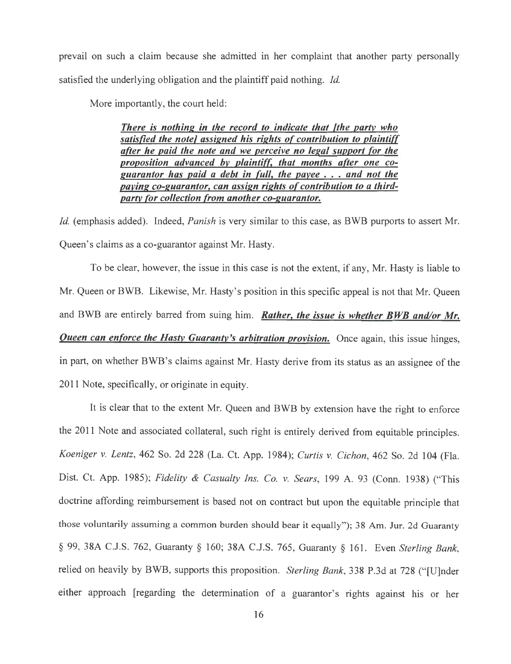prevail on such a claim because she admitted in her complaint that another party personally satisfied the underlying obligation and the plaintiff paid nothing. *Id.* 

More importantly, the court held:

*There is nothing in the record to indicate that (the party who satisfied the note/ assigned his rights of contribution to plaintiff after he paid the note and we perceive no legal support (or the proposition advanced by plaintiff. that months after one coguarantor has paid a debt in full, the payee* . . . *and not the paying co-guarantor, can assign rights of contribution to a thirdparty (or collection from another co-guarantor.* 

*Id.* (emphasis added). Indeed, *Panish* is very similar to this case, as BWB purports to assert Mr. Queen's claims as a co-guarantor against Mr. Hasty.

To be clear, however, the issue in this case is not the extent, if any, Mr. Hasty is liable to Mr. Queen or BWB. Likewise, Mr. Hasty's position in this specific appeal is not that Mr. Queen and BWB are entirely barred from suing him. *Rather, the issue is whether BWB and/or Mr.*  **Queen can enforce the Hasty Guaranty's arbitration provision.** Once again, this issue hinges, in part, on whether BWB's claims against Mr. Hasty derive from its status as an assignee of the 2011 Note, specifically, or originate in equity.

It is clear that to the extent Mr. Queen and BWB by extension have the right to enforce the 2011 Note and associated collateral, such right is entirely derived from equitable principles. *Koeniger v. Lentz,* 462 So. 2d 228 (La. Ct. App. 1984); *Curtis v. Cichon,* 462 So. 2d 104 (Fla. Dist. Ct. App. 1985); *Fidelity* & *Casualty Ins. Co. v. Sears,* 199 A. 93 (Conn. 1938) ("This doctrine affording reimbursement is based not on contract but upon the equitable principle that those voluntarily assuming a common burden should bear it equally"); 38 Am. Jur. 2d Guaranty § 99, 38A C.J.S. 762, Guaranty § 160; 38A C.J.S. 765, Guaranty § 161. Even *Sterling Bank,*  relied on heavily by BWB, supports this proposition. *Sterling Bank,* 338 P.3d at 728 ("[U]nder either approach [regarding the determination of a guarantor's rights against his or her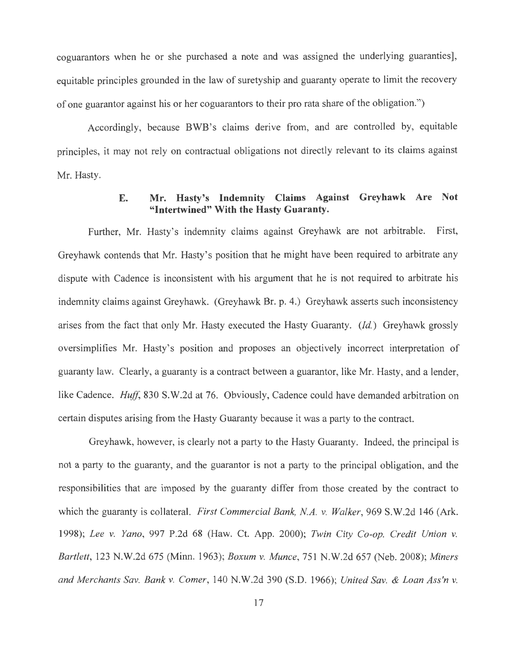coguarantors when he or she purchased a note and was assigned the underlying guaranties], equitable principles grounded in the law of suretyship and guaranty operate to limit the recovery of one guarantor against his or her coguarantors to their pro rata share of the obligation.")

Accordingly, because BWB's claims derive from, and are controlled by, equitable principles, it may not rely on contractual obligations not directly relevant to its claims against Mr. Hasty.

## **E. Mr. Hasty's Indemnity Claims Against Greyhawk Are Not "Intertwined" With the Hasty Guaranty.**

Further, Mr. Hasty's indemnity claims against Greyhawk are not arbitrable. First, Greyhawk contends that Mr. Hasty's position that he might have been required to arbitrate any dispute with Cadence is inconsistent with his argument that he is not required to arbitrate his indemnity claims against Greyhawk. (Greyhawk Br. p. 4.) Greyhawk asserts such inconsistency arises from the fact that only Mr. Hasty executed the Hasty Guaranty. *(Id.)* Greyhawk grossly oversimplifies Mr. Hasty's position and proposes an objectively incorrect interpretation of guaranty law. Clearly, a guaranty is a contract between a guarantor, like Mr. Hasty, and a lender, like Cadence. *Huff*, 830 S.W.2d at 76. Obviously, Cadence could have demanded arbitration on certain disputes arising from the Hasty Guaranty because it was a party to the contract.

Greyhawk, however, is clearly not a party to the Hasty Guaranty. Indeed, the principal is not a party to the guaranty, and the guarantor is not a party to the principal obligation, and the responsibilities that are imposed by the guaranty differ from those created by the contract to which the guaranty is collateral. *First Commercial Bank, NA. v. Walker,* 969 S.W.2d 146 (Ark. 1998); *Lee v. Yano,* 997 P.2d 68 (Haw. Ct. App. 2000); *Twin City Co-op. Credit Union v. Bartlett,* 123 N.W.2d 675 (Minn. 1963); *Boxum v. Munce,* 751N.W.2d657 (Neb. 2008); *Miners and Merchants Sav. Bank v. Comer,* 140 N.W.2d 390 (S.D. 1966); *United Sav.* & *Loan Ass'n v.*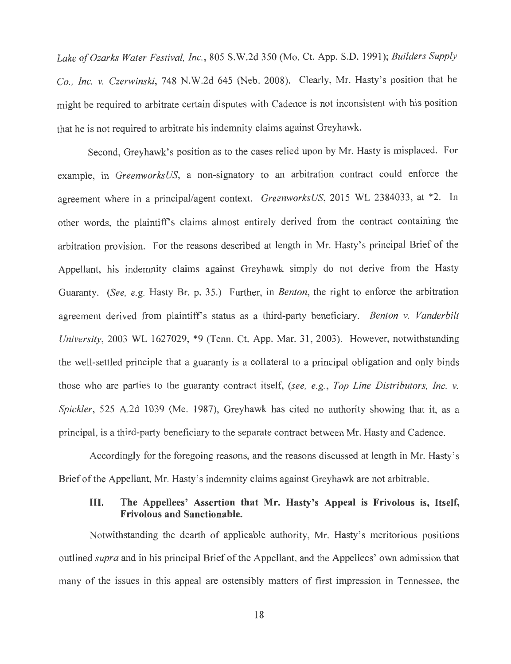*Lake of Ozarks Water Festival, Inc.,* 805 S.W.2d 350 (Mo. Ct. App. S.D. 1991); *Builders Supply Co., Inc. v. Czerwinski,* 748 N.W.2d 645 (Neb. 2008). Clearly, Mr. Hasty's position that he might be required to arbitrate certain disputes with Cadence is not inconsistent with his position that he is not required to arbitrate his indemnity claims against Greyhawk.

Second, Greyhawk's position as to the cases relied upon by Mr. Hasty is misplaced. For example, in *GreenworksUS,* a non-signatory to an arbitration contract could enforce the agreement where in a principal/agent context. *GreenworksUS,* 2015 WL 2384033, at \*2. In other words, the plaintiff's claims almost entirely derived from the contract containing the arbitration provision. For the reasons described at length in Mr. Hasty's principal Brief of the Appellant, his indemnity claims against Greyhawk simply do not derive from the Hasty Guaranty. *(See, e.g.* Hasty Br. p. 35.) Further, in *Benton,* the right to enforce the arbitration agreement derived from plaintiffs status as a third-party beneficiary. *Benton v. Vanderbilt University,* 2003 WL 1627029, \*9 (Tenn. Ct. App. Mar. 31 , 2003). However, notwithstanding the well-settled principle that a guaranty is a collateral to a principal obligation and only binds those who are parties to the guaranty contract itself, *(see, e.g. , Top Line Distributors, Inc. v. Spickler,* 525 A.2d 1039 (Me. 1987), Greyhawk has cited no authority showing that it, as a principal, is a third-party beneficiary to the separate contract between Mr. Hasty and Cadence.

Accordingly for the foregoing reasons, and the reasons discussed at length in Mr. Hasty's Brief of the Appellant, Mr. Hasty's indemnity claims against Greyhawk are not arbitrable.

### **III. The Appellees' Assertion that Mr. Hasty's Appeal is Frivolous** is, **Itself, Frivolous and Sanctionable.**

Notwithstanding the dearth of applicable authority, Mr. Hasty's meritorious positions outlined *supra* and in his principal Brief of the Appellant, and the Appellees' own admission that many of the issues in this appeal are ostensibly matters of first impression in Tennessee, the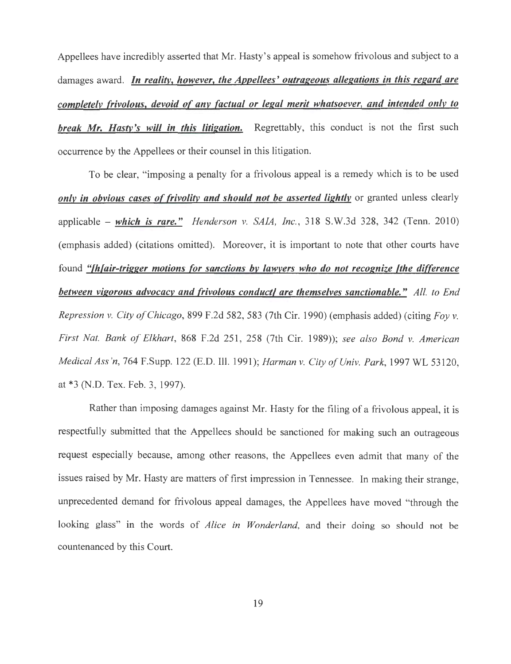Appellees have incredibly asserted that Mr. Hasty's appeal is somehow frivolous and subject to a damages award. *In reality, however, the Appellees' outrageous allegations in this regard are completely frivolous, devoid of any factual or legal merit whatsoever, and intended only to break Mr. Hasty's will in this litigation.* Regrettably, this conduct is not the first such occurrence by the Appellees or their counsel in this litigation.

To be clear, "imposing a penalty for a frivolous appeal is a remedy which is to be used *only in obvious cases of frivolity and should not be asserted lightly* or granted unless clearly applicable - *which is rare." Henderson* v. *SAIA, Inc. ,* 318 S.W.3d 328, 342 (Tenn. 2010) (emphasis added) (citations omitted). Moreover, it is important to note that other courts have found *"[h] air-trigger motions for sanctions by lawyers who do not recognize [the difference between vigorous advocacy and frivolous conduct/ are themselves sanctionable." All. to End Repression* v. *City a/Chicago,* 899 F.2d 582, 583 (7th Cir. 1990) (emphasis added) (citing *Foy* v. *First Nat. Bank of Elkhart,* 868 F.2d 251, 258 (7th Cir. 1989)); *see also Bond* v. *American Medical Ass 'n,* 764 F.Supp. 122 (E.D. Ill. 1991); *Harman* v. *City of Univ. Park,* 1997 WL 53120, at \*3 (N.D. Tex. Feb. 3, 1997).

Rather than imposing damages against Mr. Hasty for the filing of a frivolous appeal, it is respectfully submitted that the Appellees should be sanctioned for making such an outrageous request especially because, among other reasons, the Appellees even admit that many of the issues raised by Mr. Hasty are matters of first impression in Tennessee. In making their strange, unprecedented demand for frivolous appeal damages, the Appellees have moved "through the looking glass" in the words of *Alice in Wonderland,* and their doing so should not be countenanced by this Court.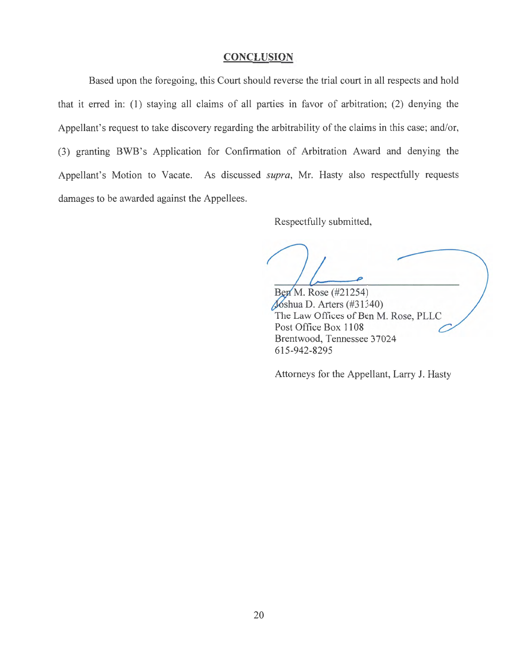### **CONCLUSION**

Based upon the foregoing, this Court should reverse the trial court in all respects and hold that it erred in: (1) staying all claims of all parties in favor of arbitration; (2) denying the Appellant's request to take discovery regarding the arbitrability of the claims in this case; and/or, (3) granting BWB's Application for Confirmation of Arbitration Award and denying the Appellant's Motion to Vacate. As discussed *supra,* Mr. Hasty also respectfully requests damages to be awarded against the Appellees.

Respectfully submitted,

Ben M. Rose (#21254) Joshua D. Arters (#31340) The Law Offices of Ben M. Rose, PLLC Post Office Box 1108 Brentwood, Tennessee 37024 615-942-8295

Attorneys for the Appellant, Larry J. Hasty